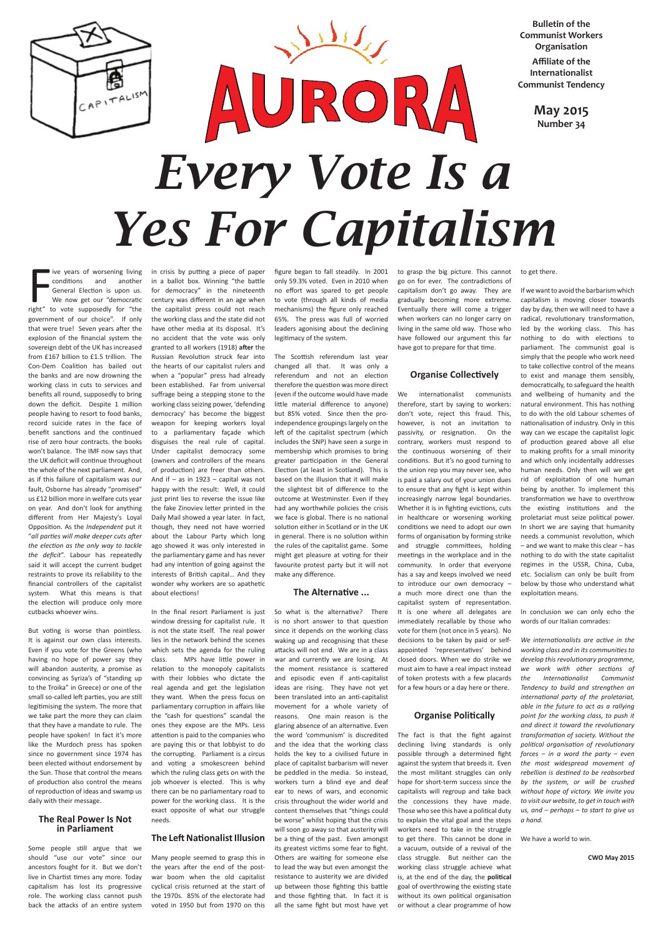

ive years of worsening living<br>
conditions and another<br>
General Election is upon us.<br>
We now get our "democratic<br>
right" to vote supposedly for "the live years of worsening living conditions and another General Election is upon us. We now get our "democratic government of our choice". If only that were true! Seven years after the explosion of the financial system the sovereign debt of the UK has increased from £167 billion to £1.5 trillion. The Con-Dem Coalition has bailed out the banks and are now drowning the working class in cuts to services and benefits all round, supposedly to bring down the deficit. Despite 1 million people having to resort to food banks, record suicide rates in the face of benefit sanctions and the continued rise of zero hour contracts. the books won't balance. The IMF now says that the UK deficit will continue throughout the whole of the next parliament. And, as if this failure of capitalism was our fault, Osborne has already "promised" us £12 billion more in welfare cuts year on year. And don't look for anything different from Her Majesty's Loyal Opposition. As the *Independent* put it "*all parties will make deeper cuts after the election as the only way to tackle the deficit*". Labour has repeatedly said it will accept the current budget restraints to prove its reliability to the financial controllers of the capitalist system. What this means is that the election will produce only more cutbacks whoever wins.

But voting is worse than pointless. It is against our own class interests. Even if you vote for the Greens (who having no hope of power say they will abandon austerity, a promise as convincing as Syriza's of "standing up to the Troika" in Greece) or one of the small so-called left parties, you are still legitimising the system. The more that we take part the more they can claim that they have a mandate to rule. The people have spoken! In fact it's more like the Murdoch press has spoken since no government since 1974 has been elected without endorsement by the Sun. Those that control the means of production also control the means of reproduction of ideas and swamp us daily with their message.

### **The Real Power Is Not in Parliament**

Some people still argue that we should "use our vote" since our ancestors fought for it. But we don't live in Chartist times any more. Today capitalism has lost its progressive role. The working class cannot push back the attacks of an entire system in crisis by putting a piece of paper in a ballot box. Winning "the battle for democracy" in the nineteenth century was different in an age when the capitalist press could not reach the working class and the state did not have other media at its disposal. It's no accident that the vote was only granted to all workers (1918) **after** the Russian Revolution struck fear into the hearts of our capitalist rulers and when a "popular" press had already been established. Far from universal suffrage being a stepping stone to the working class seizing power, 'defending democracy' has become the biggest weapon for keeping workers loyal to a parliamentary façade which disguises the real rule of capital. Under capitalist democracy some (owners and controllers of the means of production) are freer than others. And if  $-$  as in 1923  $-$  capital was not happy with the result: Well, it could just print lies to reverse the issue like the fake Zinoviev letter printed in the Daily Mail showed a year later. In fact, though, they need not have worried about the Labour Party which long ago showed it was only interested in the parliamentary game and has never had any intention of going against the interests of British capital… And they wonder why workers are so apathetic about elections!

In the final resort Parliament is just window dressing for capitalist rule. It is not the state itself. The real power lies in the network behind the scenes which sets the agenda for the ruling class. MPs have little power in relation to the monopoly capitalists with their lobbies who dictate the real agenda and get the legislation they want. When the press focus on parliamentary corruption in affairs like the "cash for questions" scandal the ones they expose are the MPs. Less attention is paid to the companies who are paying this or that lobbyist to do the corrupting. Parliament is a circus and voting a smokescreen behind which the ruling class gets on with the job whoever is elected. This is why there can be no parliamentary road to power for the working class. It is the exact opposite of what our struggle needs.

#### **The Left Nationalist Illusion**

Many people seemed to grasp this in the years after the end of the postwar boom when the old capitalist cyclical crisis returned at the start of the 1970s. 85% of the electorate had voted in 1950 but from 1970 on this

figure began to fall steadily. In 2001 only 59.3% voted. Even in 2010 when no effort was spared to get people to vote (through all kinds of media mechanisms) the figure only reached 65%. The press was full of worried leaders agonising about the declining legitimacy of the system.

The Scottish referendum last year changed all that. It was only a referendum and not an election therefore the question was more direct (even if the outcome would have made little material difference to anyone) but 85% voted. Since then the proindependence groupings largely on the left of the capitalist spectrum (which includes the SNP) have seen a surge in membership which promises to bring greater participation in the General Election (at least in Scotland). This is based on the illusion that it will make the slightest bit of difference to the outcome at Westminster. Even if they had any worthwhile policies the crisis we face is global. There is no national solution either in Scotland or in the UK in general. There is no solution within the rules of the capitalist game. Some might get pleasure at voting for their favourite protest party but it will not make any difference.

#### **The Alternative ...**

So what is the alternative? There is no short answer to that question since it depends on the working class waking up and recognising that these attacks will not end. We are in a class war and currently we are losing. At the moment resistance is scattered and episodic even if anti-capitalist ideas are rising. They have not yet been translated into an anti-capitalist movement for a whole variety of reasons. One main reason is the glaring absence of an alternative. Even the word 'communism' is discredited and the idea that the working class holds the key to a civilised future in place of capitalist barbarism will never be peddled in the media. So instead, workers turn a blind eye and deaf ear to news of wars, and economic crisis throughout the wider world and content themselves that "things could be worse" whilst hoping that the crisis will soon go away so that austerity will be a thing of the past. Even amongst its greatest victims some fear to fight. Others are waiting for someone else to lead the way but even amongst the resistance to austerity we are divided up between those fighting this battle and those fighting that. In fact it is all the same fight but most have yet to grasp the big picture. This cannot go on for ever. The contradictions of capitalism don't go away. They are gradually becoming more extreme. Eventually there will come a trigger when workers can no longer carry on living in the same old way. Those who have followed our argument this far have got to prepare for that time.

# **Organise Collectively**

We internationalist communists therefore, start by saying to workers: don't vote, reject this fraud. This, however, is not an invitation to passivity, or resignation. On the contrary, workers must respond to the continuous worsening of their conditions. But it's no good turning to the union rep you may never see, who is paid a salary out of your union dues to ensure that any fight is kept within increasingly narrow legal boundaries. Whether it is in fighting evictions, cuts in healthcare or worsening working conditions we need to adopt our own forms of organisation by forming strike and struggle committees, holding meetings in the workplace and in the community. In order that everyone has a say and keeps involved we need to introduce our own democracy – a much more direct one than the capitalist system of representation. It is one where all delegates are immediately recallable by those who vote for them (not once in 5 years). No decisions to be taken by paid or selfappointed 'representatives' behind closed doors. When we do strike we must aim to have a real impact instead of token protests with a few placards for a few hours or a day here or there.

# **Organise Politically**

The fact is that the fight against declining living standards is only possible through a determined fight against the system that breeds it. Even the most militant struggles can only hope for short-term success since the capitalists will regroup and take back the concessions they have made. Those who see this have a political duty to explain the vital goal and the steps workers need to take in the struggle to get there. This cannot be done in a vacuum, outside of a revival of the class struggle. But neither can the working class struggle achieve what is, at the end of the day, the **political** goal of overthrowing the existing state without its own political organisation or without a clear programme of how

to get there.

If we want to avoid the barbarism which capitalism is moving closer towards day by day, then we will need to have a radical, revolutionary transformation, led by the working class. This has nothing to do with elections to parliament. The communist goal is simply that the people who work need to take collective control of the means to exist and manage them sensibly, democratically, to safeguard the health and wellbeing of humanity and the natural environment. This has nothing to do with the old Labour schemes of nationalisation of industry. Only in this way can we escape the capitalist logic of production geared above all else to making profits for a small minority and which only incidentally addresses human needs. Only then will we get rid of exploitation of one human being by another. To implement this transformation we have to overthrow the existing institutions and the proletariat must seize political power. In short we are saying that humanity needs a communist revolution, which – and we want to make this clear – has nothing to do with the state capitalist regimes in the USSR, China, Cuba, etc. Socialism can only be built from below by those who understand what exploitation means.

In conclusion we can only echo the words of our Italian comrades:

*We internationalists are active in the working class and in its communities to develop this revolutionary programme, we work with other sections of the Internationalist Communist Tendency to build and strengthen an international party of the proletariat, able in the future to act as a rallying point for the working class, to push it and direct it toward the revolutionary transformation of society. Without the political organisation of revolutionary forces – in a word the party – even the most widespread movement of rebellion is destined to be reabsorbed by the system, or will be crushed without hope of victory. We invite you to visit our website, to get in touch with us, and – perhaps – to start to give us a hand.* 

We have a world to win.

**CWO May 2015**